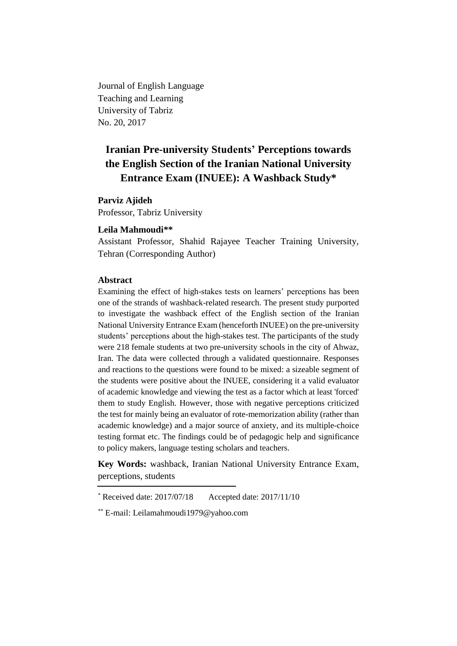Journal of English Language Teaching and Learning University of Tabriz No. 20, 2017

# **Iranian Pre-university Students' Perceptions towards the English Section of the Iranian National University Entrance Exam (INUEE): A Washback Study\***

# **Parviz Ajideh**

Professor, Tabriz University

# **Leila Mahmoudi\*\***

Assistant Professor, Shahid Rajayee Teacher Training University, Tehran (Corresponding Author)

#### **Abstract**

Examining the effect of high-stakes tests on learners' perceptions has been one of the strands of washback-related research. The present study purported to investigate the washback effect of the English section of the Iranian National University Entrance Exam (henceforth INUEE) on the pre-university students' perceptions about the high-stakes test. The participants of the study were 218 female students at two pre-university schools in the city of Ahwaz, Iran. The data were collected through a validated questionnaire. Responses and reactions to the questions were found to be mixed: a sizeable segment of the students were positive about the INUEE, considering it a valid evaluator of academic knowledge and viewing the test as a factor which at least 'forced' them to study English. However, those with negative perceptions criticized the test for mainly being an evaluator of rote-memorization ability (rather than academic knowledge) and a major source of anxiety, and its multiple-choice testing format etc. The findings could be of pedagogic help and significance to policy makers, language testing scholars and teachers.

**Key Words:** washback, Iranian National University Entrance Exam, perceptions, students

 $*$  Received date: 2017/07/18 Accepted date: 2017/11/10

<sup>\*\*</sup> E-mail: [Leilamahmoudi1979@yahoo.com](mailto:Leilamahmoudi1979@yahoo.com)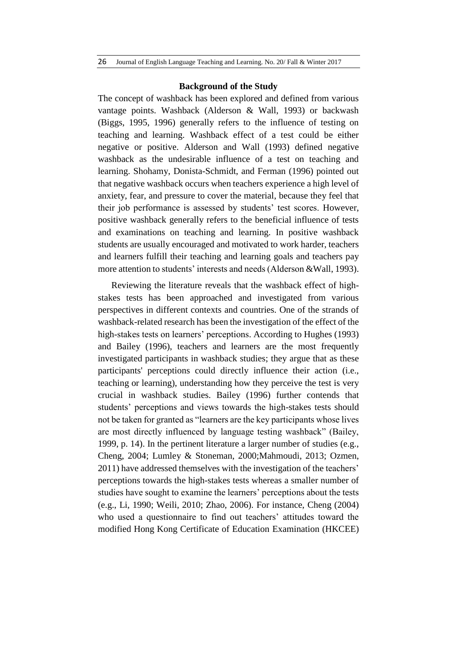#### **Background of the Study**

The concept of washback has been explored and defined from various vantage points. Washback (Alderson & Wall, 1993) or backwash (Biggs, 1995, 1996) generally refers to the influence of testing on teaching and learning. Washback effect of a test could be either negative or positive. Alderson and Wall (1993) defined negative washback as the undesirable influence of a test on teaching and learning. Shohamy, Donista-Schmidt, and Ferman (1996) pointed out that negative washback occurs when teachers experience a high level of anxiety, fear, and pressure to cover the material, because they feel that their job performance is assessed by students' test scores. However, positive washback generally refers to the beneficial influence of tests and examinations on teaching and learning. In positive washback students are usually encouraged and motivated to work harder, teachers and learners fulfill their teaching and learning goals and teachers pay more attention to students' interests and needs (Alderson &Wall, 1993).

Reviewing the literature reveals that the washback effect of highstakes tests has been approached and investigated from various perspectives in different contexts and countries. One of the strands of washback-related research has been the investigation of the effect of the high-stakes tests on learners' perceptions. According to Hughes (1993) and Bailey (1996), teachers and learners are the most frequently investigated participants in washback studies; they argue that as these participants' perceptions could directly influence their action (i.e., teaching or learning), understanding how they perceive the test is very crucial in washback studies. Bailey (1996) further contends that students' perceptions and views towards the high-stakes tests should not be taken for granted as "learners are the key participants whose lives are most directly influenced by language testing washback" (Bailey, 1999, p. 14). In the pertinent literature a larger number of studies (e.g., Cheng, 2004; Lumley & Stoneman, 2000;Mahmoudi, 2013; Ozmen, 2011) have addressed themselves with the investigation of the teachers' perceptions towards the high-stakes tests whereas a smaller number of studies have sought to examine the learners' perceptions about the tests (e.g., Li, 1990; Weili, 2010; Zhao, 2006). For instance, Cheng (2004) who used a questionnaire to find out teachers' attitudes toward the modified Hong Kong Certificate of Education Examination (HKCEE)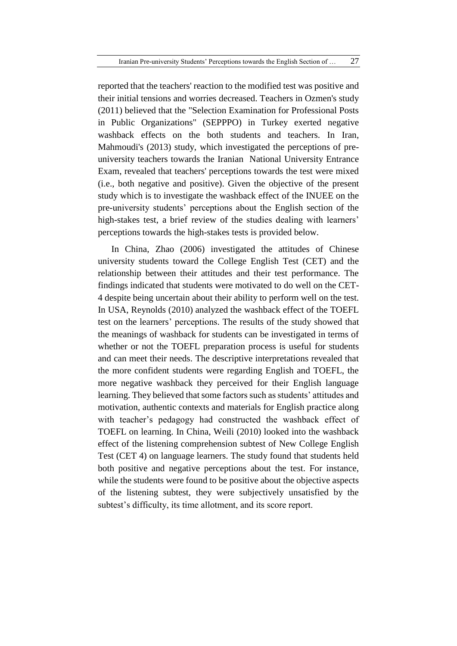reported that the teachers' reaction to the modified test was positive and their initial tensions and worries decreased. Teachers in Ozmen's study (2011) believed that the "Selection Examination for Professional Posts in Public Organizations" (SEPPPO) in Turkey exerted negative washback effects on the both students and teachers. In Iran, Mahmoudi's (2013) study, which investigated the perceptions of preuniversity teachers towards the Iranian National University Entrance Exam, revealed that teachers' perceptions towards the test were mixed (i.e., both negative and positive). Given the objective of the present study which is to investigate the washback effect of the INUEE on the pre-university students' perceptions about the English section of the high-stakes test, a brief review of the studies dealing with learners' perceptions towards the high-stakes tests is provided below.

In China, Zhao (2006) investigated the attitudes of Chinese university students toward the College English Test (CET) and the relationship between their attitudes and their test performance. The findings indicated that students were motivated to do well on the CET-4 despite being uncertain about their ability to perform well on the test. In USA, Reynolds (2010) analyzed the washback effect of the TOEFL test on the learners' perceptions. The results of the study showed that the meanings of washback for students can be investigated in terms of whether or not the TOEFL preparation process is useful for students and can meet their needs. The descriptive interpretations revealed that the more confident students were regarding English and TOEFL, the more negative washback they perceived for their English language learning. They believed that some factors such as students' attitudes and motivation, authentic contexts and materials for English practice along with teacher's pedagogy had constructed the washback effect of TOEFL on learning. In China, Weili (2010) looked into the washback effect of the listening comprehension subtest of New College English Test (CET 4) on language learners. The study found that students held both positive and negative perceptions about the test. For instance, while the students were found to be positive about the objective aspects of the listening subtest, they were subjectively unsatisfied by the subtest's difficulty, its time allotment, and its score report.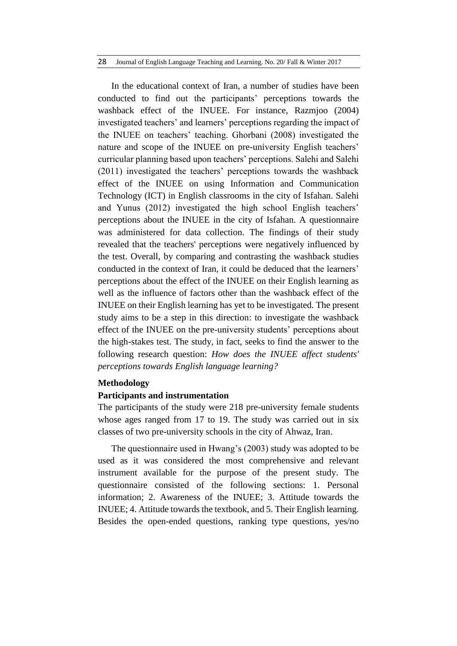#### 28 Journal of English Language Teaching and Learning. No. 20/ Fall & Winter 2017

In the educational context of Iran, a number of studies have been conducted to find out the participants' perceptions towards the washback effect of the INUEE. For instance, Razmjoo (2004) investigated teachers' and learners' perceptions regarding the impact of the INUEE on teachers' teaching. Ghorbani (2008) investigated the nature and scope of the INUEE on pre-university English teachers' curricular planning based upon teachers' perceptions. Salehi and Salehi (2011) investigated the teachers' perceptions towards the washback effect of the INUEE on using Information and Communication Technology (ICT) in English classrooms in the city of Isfahan. Salehi and Yunus (2012) investigated the high school English teachers' perceptions about the INUEE in the city of Isfahan. A questionnaire was administered for data collection. The findings of their study revealed that the teachers' perceptions were negatively influenced by the test. Overall, by comparing and contrasting the washback studies conducted in the context of Iran, it could be deduced that the learners' perceptions about the effect of the INUEE on their English learning as well as the influence of factors other than the washback effect of the INUEE on their English learning has yet to be investigated. The present study aims to be a step in this direction: to investigate the washback effect of the INUEE on the pre-university students' perceptions about the high-stakes test. The study, in fact, seeks to find the answer to the following research question: *How does the INUEE affect students' perceptions towards English language learning?*

# **Methodology**

# **Participants and instrumentation**

The participants of the study were 218 pre-university female students whose ages ranged from 17 to 19. The study was carried out in six classes of two pre-university schools in the city of Ahwaz, Iran.

The questionnaire used in Hwang's (2003) study was adopted to be used as it was considered the most comprehensive and relevant instrument available for the purpose of the present study. The questionnaire consisted of the following sections: 1. Personal information; 2. Awareness of the INUEE; 3. Attitude towards the INUEE; 4. Attitude towards the textbook, and 5. Their English learning. Besides the open-ended questions, ranking type questions, yes/no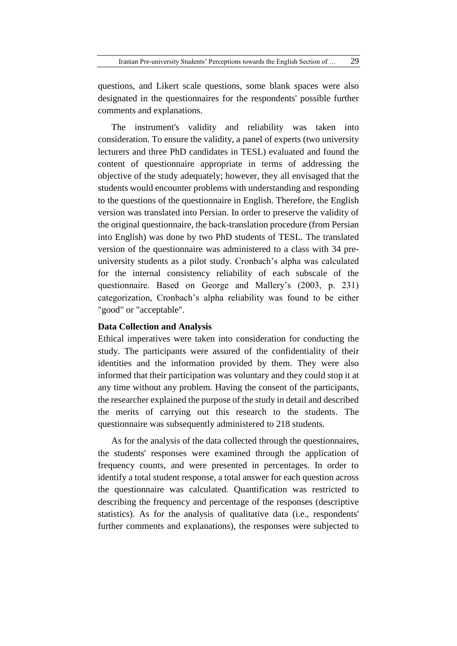questions, and Likert scale questions, some blank spaces were also designated in the questionnaires for the respondents' possible further comments and explanations.

The instrument's validity and reliability was taken into consideration. To ensure the validity, a panel of experts (two university lecturers and three PhD candidates in TESL) evaluated and found the content of questionnaire appropriate in terms of addressing the objective of the study adequately; however, they all envisaged that the students would encounter problems with understanding and responding to the questions of the questionnaire in English. Therefore, the English version was translated into Persian. In order to preserve the validity of the original questionnaire, the back-translation procedure (from Persian into English) was done by two PhD students of TESL. The translated version of the questionnaire was administered to a class with 34 preuniversity students as a pilot study. Cronbach's alpha was calculated for the internal consistency reliability of each subscale of the questionnaire. Based on George and Mallery's (2003, p. 231) categorization, Cronbach's alpha reliability was found to be either "good" or "acceptable".

# **Data Collection and Analysis**

Ethical imperatives were taken into consideration for conducting the study. The participants were assured of the confidentiality of their identities and the information provided by them. They were also informed that their participation was voluntary and they could stop it at any time without any problem. Having the consent of the participants, the researcher explained the purpose of the study in detail and described the merits of carrying out this research to the students. The questionnaire was subsequently administered to 218 students.

As for the analysis of the data collected through the questionnaires, the students' responses were examined through the application of frequency counts, and were presented in percentages. In order to identify a total student response, a total answer for each question across the questionnaire was calculated. Quantification was restricted to describing the frequency and percentage of the responses (descriptive statistics). As for the analysis of qualitative data (i.e., respondents' further comments and explanations), the responses were subjected to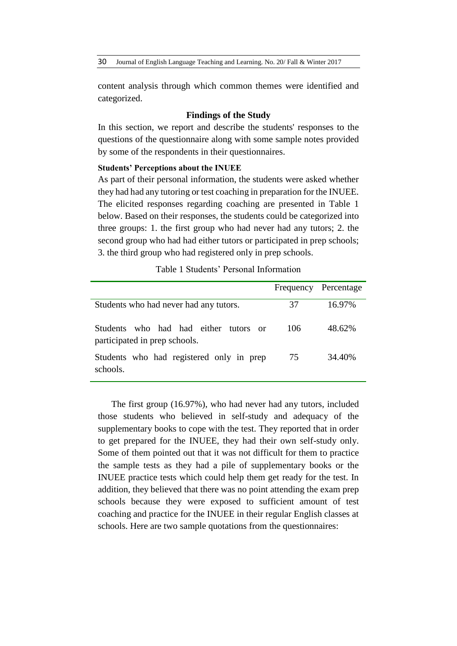content analysis through which common themes were identified and categorized.

# **Findings of the Study**

In this section, we report and describe the students' responses to the questions of the questionnaire along with some sample notes provided by some of the respondents in their questionnaires.

#### **Students' Perceptions about the INUEE**

As part of their personal information, the students were asked whether they had had any tutoring or test coaching in preparation for the INUEE. The elicited responses regarding coaching are presented in Table 1 below. Based on their responses, the students could be categorized into three groups: 1. the first group who had never had any tutors; 2. the second group who had had either tutors or participated in prep schools; 3. the third group who had registered only in prep schools.

#### Table 1 Students' Personal Information

|                                                                                               |     | Frequency Percentage |
|-----------------------------------------------------------------------------------------------|-----|----------------------|
| Students who had never had any tutors.                                                        | 37  | 16.97%               |
| who had had either<br><b>Students</b><br>tutors.<br>$\alpha$<br>participated in prep schools. | 106 | 48.62%               |
| Students who had registered only in prep<br>schools.                                          | 75  | 34.40%               |

The first group (16.97%), who had never had any tutors, included those students who believed in self-study and adequacy of the supplementary books to cope with the test. They reported that in order to get prepared for the INUEE, they had their own self-study only. Some of them pointed out that it was not difficult for them to practice the sample tests as they had a pile of supplementary books or the INUEE practice tests which could help them get ready for the test. In addition, they believed that there was no point attending the exam prep schools because they were exposed to sufficient amount of test coaching and practice for the INUEE in their regular English classes at schools. Here are two sample quotations from the questionnaires: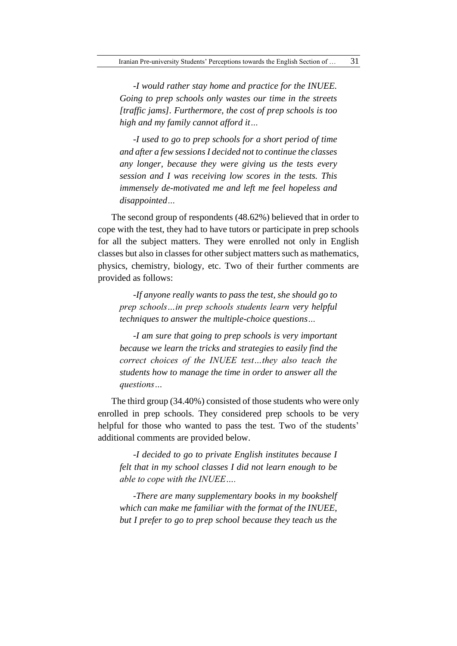*-I would rather stay home and practice for the INUEE. Going to prep schools only wastes our time in the streets [traffic jams]. Furthermore, the cost of prep schools is too high and my family cannot afford it…*

*-I used to go to prep schools for a short period of time and after a few sessions I decided not to continue the classes any longer, because they were giving us the tests every session and I was receiving low scores in the tests. This immensely de-motivated me and left me feel hopeless and disappointed…*

The second group of respondents (48.62%) believed that in order to cope with the test, they had to have tutors or participate in prep schools for all the subject matters. They were enrolled not only in English classes but also in classes for other subject matters such as mathematics, physics, chemistry, biology, etc. Two of their further comments are provided as follows:

*-If anyone really wants to pass the test, she should go to prep schools…in prep schools students learn very helpful techniques to answer the multiple-choice questions…*

*-I am sure that going to prep schools is very important because we learn the tricks and strategies to easily find the correct choices of the INUEE test…they also teach the students how to manage the time in order to answer all the questions…*

The third group (34.40%) consisted of those students who were only enrolled in prep schools. They considered prep schools to be very helpful for those who wanted to pass the test. Two of the students' additional comments are provided below.

*-I decided to go to private English institutes because I felt that in my school classes I did not learn enough to be able to cope with the INUEE….*

*-There are many supplementary books in my bookshelf which can make me familiar with the format of the INUEE, but I prefer to go to prep school because they teach us the*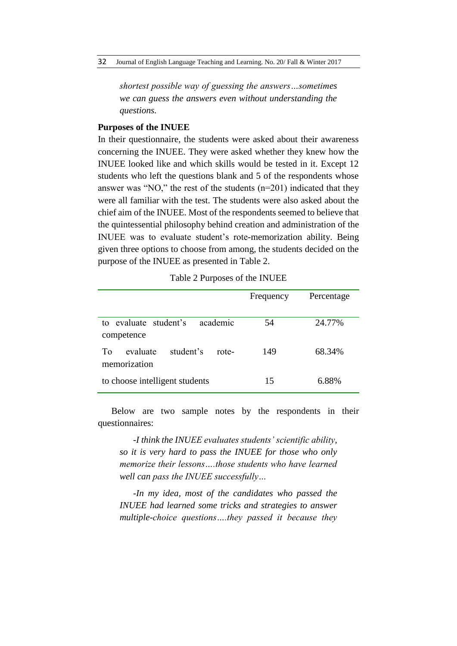*shortest possible way of guessing the answers…sometimes we can guess the answers even without understanding the questions.*

# **Purposes of the INUEE**

In their questionnaire, the students were asked about their awareness concerning the INUEE. They were asked whether they knew how the INUEE looked like and which skills would be tested in it. Except 12 students who left the questions blank and 5 of the respondents whose answer was "NO," the rest of the students (n=201) indicated that they were all familiar with the test. The students were also asked about the chief aim of the INUEE. Most of the respondents seemed to believe that the quintessential philosophy behind creation and administration of the INUEE was to evaluate student's rote-memorization ability. Being given three options to choose from among, the students decided on the purpose of the INUEE as presented in Table 2.

|  | Table 2 Purposes of the INUEE |  |  |
|--|-------------------------------|--|--|
|--|-------------------------------|--|--|

|                                                      | Frequency | Percentage |
|------------------------------------------------------|-----------|------------|
| academic<br>to evaluate student's<br>competence      | 54        | 24.77%     |
| evaluate<br>student's<br>To<br>rote-<br>memorization | 149       | 68.34%     |
| to choose intelligent students                       | 15        | 6.88%      |

Below are two sample notes by the respondents in their questionnaires:

*-I think the INUEE evaluates students' scientific ability, so it is very hard to pass the INUEE for those who only memorize their lessons….those students who have learned well can pass the INUEE successfully…*

*-In my idea, most of the candidates who passed the INUEE had learned some tricks and strategies to answer multiple-choice questions….they passed it because they*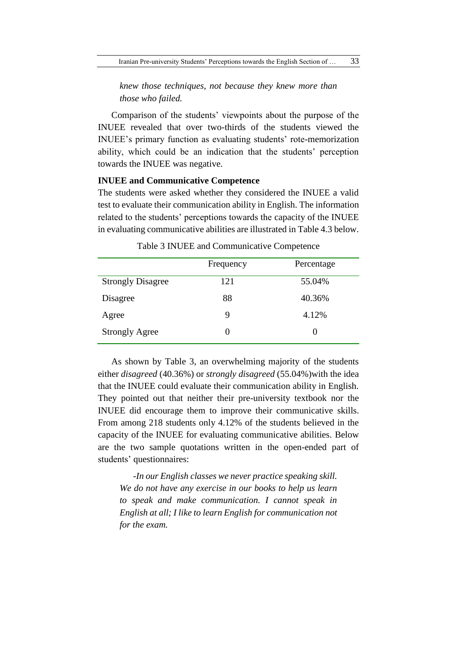*knew those techniques, not because they knew more than those who failed.*

Comparison of the students' viewpoints about the purpose of the INUEE revealed that over two-thirds of the students viewed the INUEE's primary function as evaluating students' rote-memorization ability, which could be an indication that the students' perception towards the INUEE was negative.

# **INUEE and Communicative Competence**

The students were asked whether they considered the INUEE a valid test to evaluate their communication ability in English. The information related to the students' perceptions towards the capacity of the INUEE in evaluating communicative abilities are illustrated in Table 4.3 below.

|                          | Frequency | Percentage |
|--------------------------|-----------|------------|
| <b>Strongly Disagree</b> | 121       | 55.04%     |
| Disagree                 | 88        | 40.36%     |
| Agree                    | 9         | 4.12%      |
| <b>Strongly Agree</b>    | 0         |            |

Table 3 INUEE and Communicative Competence

As shown by Table 3, an overwhelming majority of the students either *disagreed* (40.36%) or *strongly disagreed* (55.04%)with the idea that the INUEE could evaluate their communication ability in English. They pointed out that neither their pre-university textbook nor the INUEE did encourage them to improve their communicative skills. From among 218 students only 4.12% of the students believed in the capacity of the INUEE for evaluating communicative abilities. Below are the two sample quotations written in the open-ended part of students' questionnaires:

*-In our English classes we never practice speaking skill. We do not have any exercise in our books to help us learn to speak and make communication. I cannot speak in English at all; I like to learn English for communication not for the exam.*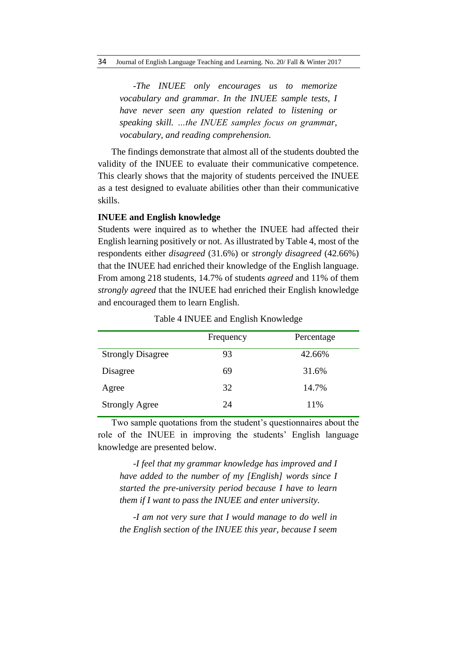*-The INUEE only encourages us to memorize vocabulary and grammar. In the INUEE sample tests, I have never seen any question related to listening or speaking skill. …the INUEE samples focus on grammar, vocabulary, and reading comprehension.*

The findings demonstrate that almost all of the students doubted the validity of the INUEE to evaluate their communicative competence. This clearly shows that the majority of students perceived the INUEE as a test designed to evaluate abilities other than their communicative skills.

# **INUEE and English knowledge**

Students were inquired as to whether the INUEE had affected their English learning positively or not. As illustrated by Table 4, most of the respondents either *disagreed* (31.6%) or *strongly disagreed* (42.66%) that the INUEE had enriched their knowledge of the English language. From among 218 students, 14.7% of students *agreed* and 11% of them *strongly agreed* that the INUEE had enriched their English knowledge and encouraged them to learn English.

|                          | Frequency | Percentage |
|--------------------------|-----------|------------|
| <b>Strongly Disagree</b> | 93        | 42.66%     |
| Disagree                 | 69        | 31.6%      |
| Agree                    | 32        | 14.7%      |
| <b>Strongly Agree</b>    | 24        | 11%        |

Table 4 INUEE and English Knowledge

Two sample quotations from the student's questionnaires about the role of the INUEE in improving the students' English language knowledge are presented below.

*-I feel that my grammar knowledge has improved and I have added to the number of my [English] words since I started the pre-university period because I have to learn them if I want to pass the INUEE and enter university.*

*-I am not very sure that I would manage to do well in the English section of the INUEE this year, because I seem*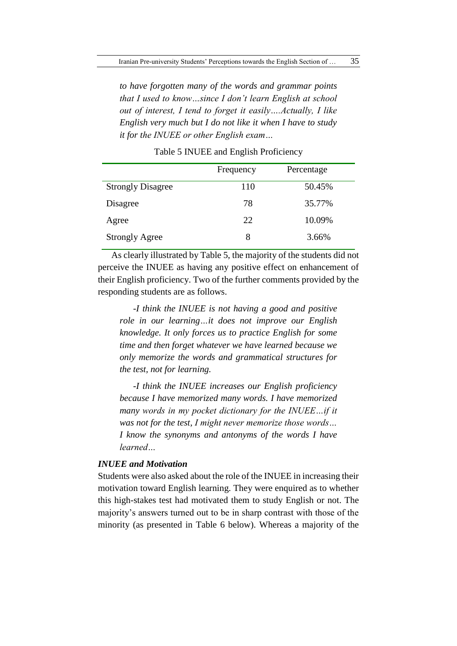*to have forgotten many of the words and grammar points that I used to know…since I don't learn English at school out of interest, I tend to forget it easily….Actually, I like English very much but I do not like it when I have to study it for the INUEE or other English exam…*

|                          | Frequency | Percentage |
|--------------------------|-----------|------------|
| <b>Strongly Disagree</b> | 110       | 50.45%     |
| Disagree                 | 78        | 35.77%     |
| Agree                    | 22        | 10.09%     |
| <b>Strongly Agree</b>    | 8         | 3.66%      |

Table 5 INUEE and English Proficiency

As clearly illustrated by Table 5, the majority of the students did not perceive the INUEE as having any positive effect on enhancement of their English proficiency. Two of the further comments provided by the responding students are as follows.

*-I think the INUEE is not having a good and positive role in our learning…it does not improve our English knowledge. It only forces us to practice English for some time and then forget whatever we have learned because we only memorize the words and grammatical structures for the test, not for learning.*

*-I think the INUEE increases our English proficiency because I have memorized many words. I have memorized many words in my pocket dictionary for the INUEE…if it was not for the test, I might never memorize those words… I know the synonyms and antonyms of the words I have learned…*

# *INUEE and Motivation*

Students were also asked about the role of the INUEE in increasing their motivation toward English learning. They were enquired as to whether this high-stakes test had motivated them to study English or not. The majority's answers turned out to be in sharp contrast with those of the minority (as presented in Table 6 below). Whereas a majority of the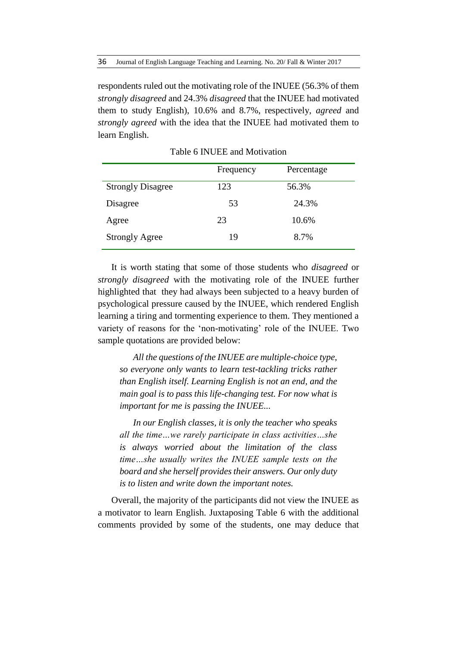respondents ruled out the motivating role of the INUEE (56.3% of them *strongly disagreed* and 24.3% *disagreed* that the INUEE had motivated them to study English), 10.6% and 8.7%, respectively, *agreed* and *strongly agreed* with the idea that the INUEE had motivated them to learn English.

|                          | Frequency | Percentage |
|--------------------------|-----------|------------|
| <b>Strongly Disagree</b> | 123       | 56.3%      |
| Disagree                 | 53        | 24.3%      |
| Agree                    | 23        | 10.6%      |
| <b>Strongly Agree</b>    | 19        | 8.7%       |

Table 6 INUEE and Motivation

It is worth stating that some of those students who *disagreed* or *strongly disagreed* with the motivating role of the INUEE further highlighted that they had always been subjected to a heavy burden of psychological pressure caused by the INUEE, which rendered English learning a tiring and tormenting experience to them. They mentioned a variety of reasons for the 'non-motivating' role of the INUEE. Two sample quotations are provided below:

*All the questions of the INUEE are multiple-choice type, so everyone only wants to learn test-tackling tricks rather than English itself. Learning English is not an end, and the main goal is to pass this life-changing test. For now what is important for me is passing the INUEE...* 

*In our English classes, it is only the teacher who speaks all the time…we rarely participate in class activities…she is always worried about the limitation of the class time…she usually writes the INUEE sample tests on the board and she herself provides their answers. Our only duty is to listen and write down the important notes.*

Overall, the majority of the participants did not view the INUEE as a motivator to learn English. Juxtaposing Table 6 with the additional comments provided by some of the students, one may deduce that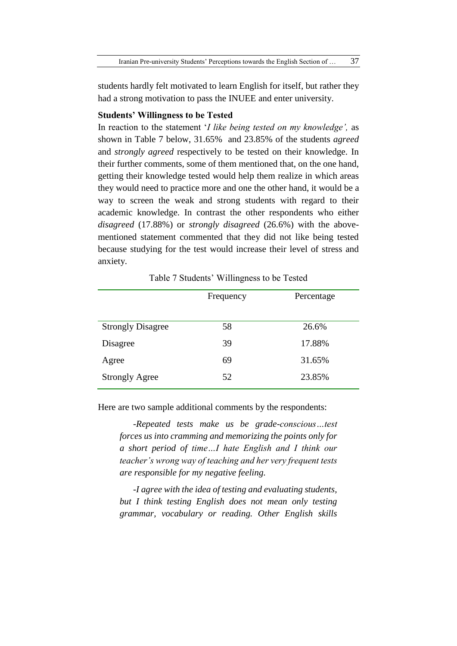students hardly felt motivated to learn English for itself, but rather they had a strong motivation to pass the INUEE and enter university.

# **Students' Willingness to be Tested**

In reaction to the statement '*I like being tested on my knowledge',* as shown in Table 7 below, 31.65% and 23.85% of the students *agreed* and *strongly agreed* respectively to be tested on their knowledge. In their further comments, some of them mentioned that, on the one hand, getting their knowledge tested would help them realize in which areas they would need to practice more and one the other hand, it would be a way to screen the weak and strong students with regard to their academic knowledge. In contrast the other respondents who either *disagreed* (17.88%) or *strongly disagreed* (26.6%) with the abovementioned statement commented that they did not like being tested because studying for the test would increase their level of stress and anxiety.

#### Table 7 Students' Willingness to be Tested

|                          | Frequency | Percentage |
|--------------------------|-----------|------------|
|                          |           |            |
| <b>Strongly Disagree</b> | 58        | 26.6%      |
| Disagree                 | 39        | 17.88%     |
| Agree                    | 69        | 31.65%     |
| <b>Strongly Agree</b>    | 52        | 23.85%     |

Here are two sample additional comments by the respondents:

*-Repeated tests make us be grade-conscious…test forces us into cramming and memorizing the points only for a short period of time…I hate English and I think our teacher's wrong way of teaching and her very frequent tests are responsible for my negative feeling.*

*-I agree with the idea of testing and evaluating students, but I think testing English does not mean only testing grammar, vocabulary or reading. Other English skills*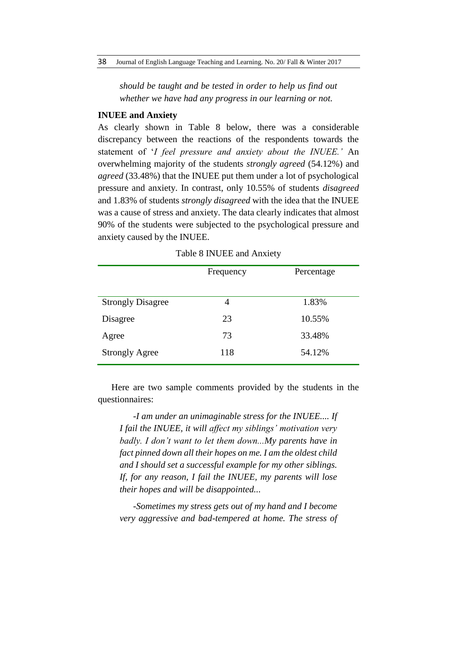*should be taught and be tested in order to help us find out whether we have had any progress in our learning or not.*

# **INUEE and Anxiety**

As clearly shown in Table 8 below, there was a considerable discrepancy between the reactions of the respondents towards the statement of '*I feel pressure and anxiety about the INUEE.'* An overwhelming majority of the students *strongly agreed* (54.12%) and *agreed* (33.48%) that the INUEE put them under a lot of psychological pressure and anxiety. In contrast, only 10.55% of students *disagreed* and 1.83% of students *strongly disagreed* with the idea that the INUEE was a cause of stress and anxiety. The data clearly indicates that almost 90% of the students were subjected to the psychological pressure and anxiety caused by the INUEE.

|                          | Frequency | Percentage |
|--------------------------|-----------|------------|
|                          |           |            |
| <b>Strongly Disagree</b> | 4         | 1.83%      |
| Disagree                 | 23        | 10.55%     |
| Agree                    | 73        | 33.48%     |
| <b>Strongly Agree</b>    | 118       | 54.12%     |

Table 8 INUEE and Anxiety

Here are two sample comments provided by the students in the questionnaires:

*-I am under an unimaginable stress for the INUEE.... If I fail the INUEE, it will affect my siblings' motivation very badly. I don't want to let them down...My parents have in fact pinned down all their hopes on me. I am the oldest child and I should set a successful example for my other siblings. If, for any reason, I fail the INUEE, my parents will lose their hopes and will be disappointed...*

*-Sometimes my stress gets out of my hand and I become very aggressive and bad-tempered at home. The stress of*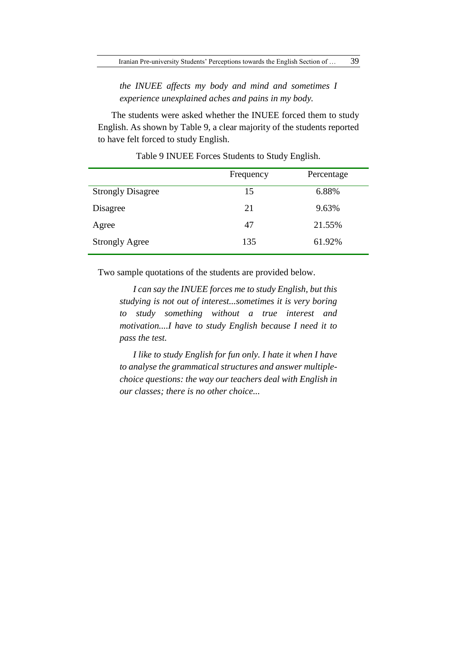*the INUEE affects my body and mind and sometimes I experience unexplained aches and pains in my body.*

The students were asked whether the INUEE forced them to study English. As shown by Table 9, a clear majority of the students reported to have felt forced to study English.

|                          | Frequency | Percentage |
|--------------------------|-----------|------------|
| <b>Strongly Disagree</b> | 15        | 6.88%      |
| Disagree                 | 21        | 9.63%      |
| Agree                    | 47        | 21.55%     |
| <b>Strongly Agree</b>    | 135       | 61.92%     |

Table 9 INUEE Forces Students to Study English.

Two sample quotations of the students are provided below.

*I can say the INUEE forces me to study English, but this studying is not out of interest...sometimes it is very boring to study something without a true interest and motivation....I have to study English because I need it to pass the test.* 

*I like to study English for fun only. I hate it when I have to analyse the grammatical structures and answer multiplechoice questions: the way our teachers deal with English in our classes; there is no other choice...*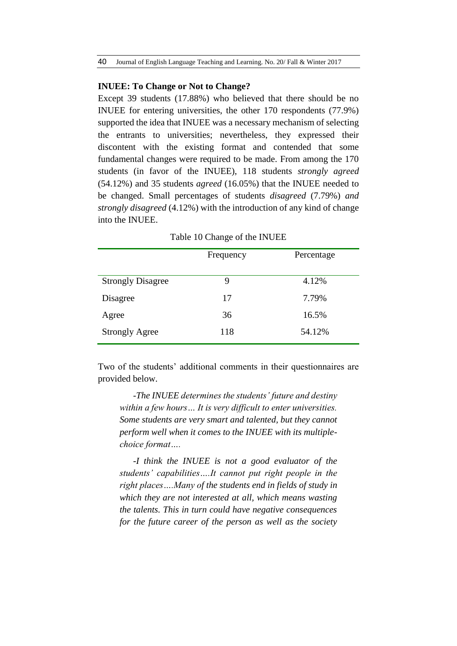#### **INUEE: To Change or Not to Change?**

Except 39 students (17.88%) who believed that there should be no INUEE for entering universities, the other 170 respondents (77.9%) supported the idea that INUEE was a necessary mechanism of selecting the entrants to universities; nevertheless, they expressed their discontent with the existing format and contended that some fundamental changes were required to be made. From among the 170 students (in favor of the INUEE), 118 students *strongly agreed* (54.12%) and 35 students *agreed* (16.05%) that the INUEE needed to be changed. Small percentages of students *disagreed* (7.79%) *and strongly disagreed* (4.12%) with the introduction of any kind of change into the INUEE.

| Frequency | Percentage |
|-----------|------------|
|           |            |
| 9         | 4.12%      |
| 17        | 7.79%      |
| 36        | 16.5%      |
| 118       | 54.12%     |
|           |            |

Table 10 Change of the INUEE

Two of the students' additional comments in their questionnaires are provided below.

*-The INUEE determines the students' future and destiny within a few hours… It is very difficult to enter universities. Some students are very smart and talented, but they cannot perform well when it comes to the INUEE with its multiplechoice format….*

*-I think the INUEE is not a good evaluator of the students' capabilities….It cannot put right people in the right places….Many of the students end in fields of study in which they are not interested at all, which means wasting the talents. This in turn could have negative consequences for the future career of the person as well as the society*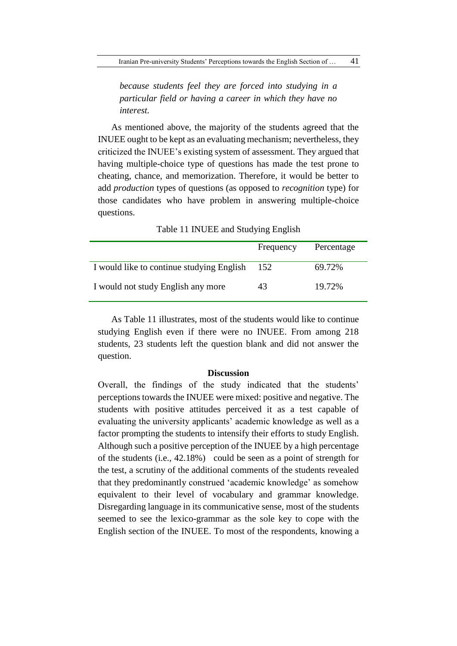*because students feel they are forced into studying in a particular field or having a career in which they have no interest.*

As mentioned above, the majority of the students agreed that the INUEE ought to be kept as an evaluating mechanism; nevertheless, they criticized the INUEE's existing system of assessment. They argued that having multiple-choice type of questions has made the test prone to cheating, chance, and memorization. Therefore, it would be better to add *production* types of questions (as opposed to *recognition* type) for those candidates who have problem in answering multiple-choice questions.

|                                           | Frequency | Percentage |
|-------------------------------------------|-----------|------------|
| I would like to continue studying English | 152       | 69.72%     |
| I would not study English any more        | 43        | 19.72%     |

Table 11 INUEE and Studying English

As Table 11 illustrates, most of the students would like to continue studying English even if there were no INUEE. From among 218 students, 23 students left the question blank and did not answer the question.

# **Discussion**

Overall, the findings of the study indicated that the students' perceptions towards the INUEE were mixed: positive and negative. The students with positive attitudes perceived it as a test capable of evaluating the university applicants' academic knowledge as well as a factor prompting the students to intensify their efforts to study English. Although such a positive perception of the INUEE by a high percentage of the students (i.e., 42.18%) could be seen as a point of strength for the test, a scrutiny of the additional comments of the students revealed that they predominantly construed 'academic knowledge' as somehow equivalent to their level of vocabulary and grammar knowledge. Disregarding language in its communicative sense, most of the students seemed to see the lexico-grammar as the sole key to cope with the English section of the INUEE. To most of the respondents, knowing a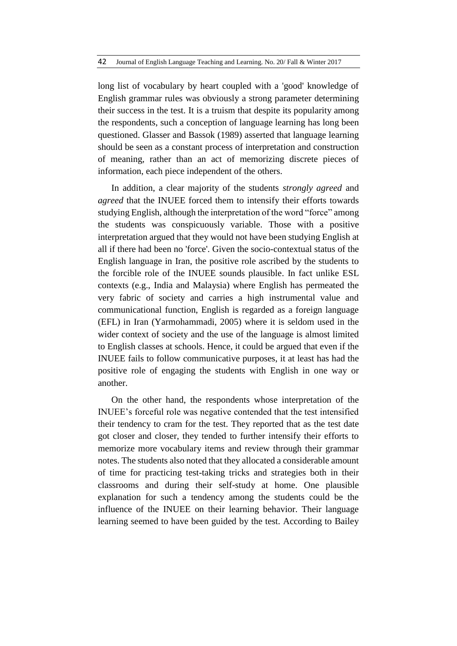long list of vocabulary by heart coupled with a 'good' knowledge of English grammar rules was obviously a strong parameter determining their success in the test. It is a truism that despite its popularity among the respondents, such a conception of language learning has long been questioned. Glasser and Bassok (1989) asserted that language learning should be seen as a constant process of interpretation and construction of meaning, rather than an act of memorizing discrete pieces of information, each piece independent of the others.

In addition, a clear majority of the students *strongly agreed* and *agreed* that the INUEE forced them to intensify their efforts towards studying English, although the interpretation of the word "force" among the students was conspicuously variable. Those with a positive interpretation argued that they would not have been studying English at all if there had been no 'force'. Given the socio-contextual status of the English language in Iran, the positive role ascribed by the students to the forcible role of the INUEE sounds plausible. In fact unlike ESL contexts (e.g., India and Malaysia) where English has permeated the very fabric of society and carries a high instrumental value and communicational function, English is regarded as a foreign language (EFL) in Iran (Yarmohammadi, 2005) where it is seldom used in the wider context of society and the use of the language is almost limited to English classes at schools. Hence, it could be argued that even if the INUEE fails to follow communicative purposes, it at least has had the positive role of engaging the students with English in one way or another.

On the other hand, the respondents whose interpretation of the INUEE's forceful role was negative contended that the test intensified their tendency to cram for the test. They reported that as the test date got closer and closer, they tended to further intensify their efforts to memorize more vocabulary items and review through their grammar notes. The students also noted that they allocated a considerable amount of time for practicing test-taking tricks and strategies both in their classrooms and during their self-study at home. One plausible explanation for such a tendency among the students could be the influence of the INUEE on their learning behavior. Their language learning seemed to have been guided by the test. According to Bailey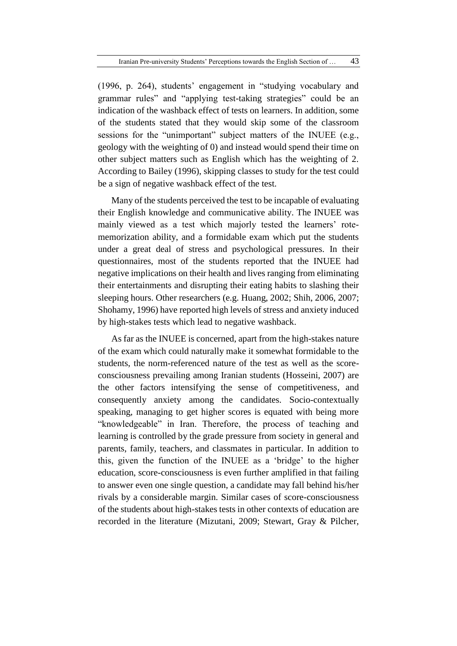(1996, p. 264), students' engagement in "studying vocabulary and grammar rules" and "applying test-taking strategies" could be an indication of the washback effect of tests on learners. In addition, some of the students stated that they would skip some of the classroom sessions for the "unimportant" subject matters of the INUEE (e.g., geology with the weighting of 0) and instead would spend their time on other subject matters such as English which has the weighting of 2. According to Bailey (1996), skipping classes to study for the test could be a sign of negative washback effect of the test.

Many of the students perceived the test to be incapable of evaluating their English knowledge and communicative ability. The INUEE was mainly viewed as a test which majorly tested the learners' rotememorization ability, and a formidable exam which put the students under a great deal of stress and psychological pressures. In their questionnaires, most of the students reported that the INUEE had negative implications on their health and lives ranging from eliminating their entertainments and disrupting their eating habits to slashing their sleeping hours. Other researchers (e.g. Huang, 2002; Shih, 2006, 2007; Shohamy, 1996) have reported high levels of stress and anxiety induced by high-stakes tests which lead to negative washback.

As far as the INUEE is concerned, apart from the high-stakes nature of the exam which could naturally make it somewhat formidable to the students, the norm-referenced nature of the test as well as the scoreconsciousness prevailing among Iranian students (Hosseini, 2007) are the other factors intensifying the sense of competitiveness, and consequently anxiety among the candidates. Socio-contextually speaking, managing to get higher scores is equated with being more "knowledgeable" in Iran. Therefore, the process of teaching and learning is controlled by the grade pressure from society in general and parents, family, teachers, and classmates in particular. In addition to this, given the function of the INUEE as a 'bridge' to the higher education, score-consciousness is even further amplified in that failing to answer even one single question, a candidate may fall behind his/her rivals by a considerable margin. Similar cases of score-consciousness of the students about high-stakes tests in other contexts of education are recorded in the literature (Mizutani, 2009; Stewart, Gray & Pilcher,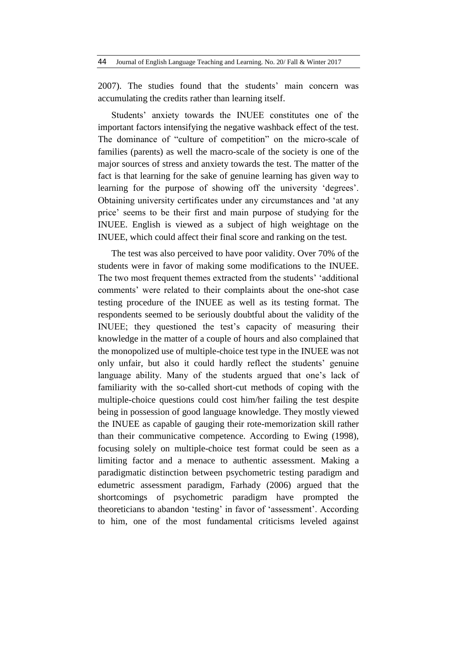2007). The studies found that the students' main concern was accumulating the credits rather than learning itself.

Students' anxiety towards the INUEE constitutes one of the important factors intensifying the negative washback effect of the test. The dominance of "culture of competition" on the micro-scale of families (parents) as well the macro-scale of the society is one of the major sources of stress and anxiety towards the test. The matter of the fact is that learning for the sake of genuine learning has given way to learning for the purpose of showing off the university 'degrees'. Obtaining university certificates under any circumstances and 'at any price' seems to be their first and main purpose of studying for the INUEE. English is viewed as a subject of high weightage on the INUEE, which could affect their final score and ranking on the test.

The test was also perceived to have poor validity. Over 70% of the students were in favor of making some modifications to the INUEE. The two most frequent themes extracted from the students' 'additional comments' were related to their complaints about the one-shot case testing procedure of the INUEE as well as its testing format. The respondents seemed to be seriously doubtful about the validity of the INUEE; they questioned the test's capacity of measuring their knowledge in the matter of a couple of hours and also complained that the monopolized use of multiple-choice test type in the INUEE was not only unfair, but also it could hardly reflect the students' genuine language ability. Many of the students argued that one's lack of familiarity with the so-called short-cut methods of coping with the multiple-choice questions could cost him/her failing the test despite being in possession of good language knowledge. They mostly viewed the INUEE as capable of gauging their rote-memorization skill rather than their communicative competence. According to Ewing (1998), focusing solely on multiple-choice test format could be seen as a limiting factor and a menace to authentic assessment. Making a paradigmatic distinction between psychometric testing paradigm and edumetric assessment paradigm, Farhady (2006) argued that the shortcomings of psychometric paradigm have prompted the theoreticians to abandon 'testing' in favor of 'assessment'. According to him, one of the most fundamental criticisms leveled against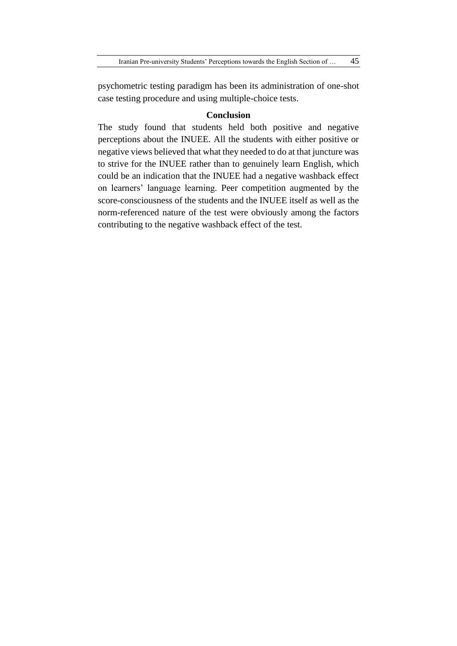psychometric testing paradigm has been its administration of one-shot case testing procedure and using multiple-choice tests.

# **Conclusion**

The study found that students held both positive and negative perceptions about the INUEE. All the students with either positive or negative views believed that what they needed to do at that juncture was to strive for the INUEE rather than to genuinely learn English, which could be an indication that the INUEE had a negative washback effect on learners' language learning. Peer competition augmented by the score-consciousness of the students and the INUEE itself as well as the norm-referenced nature of the test were obviously among the factors contributing to the negative washback effect of the test.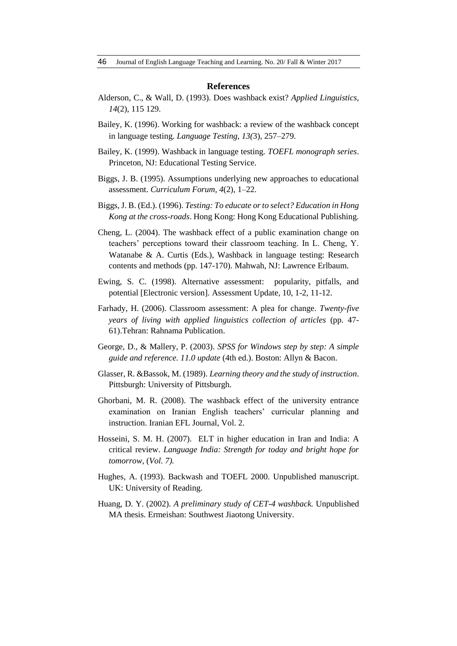#### **References**

- Alderson, C., & Wall, D. (1993). Does washback exist? *Applied Linguistics, 14*(2), 115 129.
- Bailey, K. (1996). Working for washback: a review of the washback concept in language testing. *Language Testing, 13(*3), 257–279.
- Bailey, K. (1999). Washback in language testing. *TOEFL monograph series*. Princeton, NJ: Educational Testing Service.
- Biggs, J. B. (1995). Assumptions underlying new approaches to educational assessment. *Curriculum Forum, 4*(2), 1–22.
- Biggs, J. B. (Ed.). (1996). *Testing: To educate or to select? Education in Hong Kong at the cross-roads*. Hong Kong: Hong Kong Educational Publishing.
- Cheng, L. (2004). The washback effect of a public examination change on teachers' perceptions toward their classroom teaching. In L. Cheng, Y. Watanabe & A. Curtis (Eds.), Washback in language testing: Research contents and methods (pp. 147-170). Mahwah, NJ: Lawrence Erlbaum.
- Ewing, S. C. (1998). Alternative assessment: popularity, pitfalls, and potential [Electronic version]. Assessment Update, 10, 1-2, 11-12.
- Farhady, H. (2006). Classroom assessment: A plea for change. *Twenty-five years of living with applied linguistics collection of articles* (pp. 47- 61).Tehran: Rahnama Publication.
- George, D., & Mallery, P. (2003). *SPSS for Windows step by step: A simple guide and reference. 11.0 update* (4th ed.). Boston: Allyn & Bacon.
- Glasser, R. &Bassok, M. (1989). *Learning theory and the study of instruction*. Pittsburgh: University of Pittsburgh.
- Ghorbani, M. R. (2008). The washback effect of the university entrance examination on Iranian English teachers' curricular planning and instruction. Iranian EFL Journal, Vol. 2.
- Hosseini, S. M. H. (2007). ELT in higher education in Iran and India: A critical review. *Language India: Strength for today and bright hope for tomorrow,* (*Vol. 7).*
- Hughes, A. (1993). Backwash and TOEFL 2000. Unpublished manuscript. UK: University of Reading.
- Huang, D. Y. (2002). *A preliminary study of CET-4 washback.* Unpublished MA thesis. Ermeishan: Southwest Jiaotong University.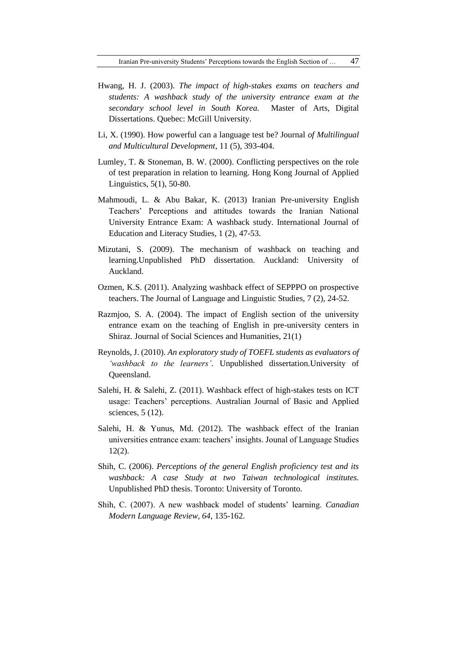- Hwang, H. J. (2003). *The impact of high-stakes exams on teachers and students: A washback study of the university entrance exam at the secondary school level in South Korea.* Master of Arts, Digital Dissertations. Quebec: McGill University.
- Li, X. (1990). How powerful can a language test be? Journal *of Multilingual and Multicultural Development,* 11 (5), 393-404.
- Lumley, T. & Stoneman, B. W. (2000). Conflicting perspectives on the role of test preparation in relation to learning. Hong Kong Journal of Applied Linguistics, 5(1), 50-80.
- Mahmoudi, L. & Abu Bakar, K. (2013) Iranian Pre-university English Teachers' Perceptions and attitudes towards the Iranian National University Entrance Exam: A washback study. International Journal of Education and Literacy Studies, 1 (2), 47-53.
- Mizutani, S. (2009). The mechanism of washback on teaching and learning.Unpublished PhD dissertation. Auckland: University of Auckland.
- Ozmen, K.S. (2011). Analyzing washback effect of SEPPPO on prospective teachers. The Journal of Language and Linguistic Studies, 7 (2), 24-52.
- Razmjoo, S. A. (2004). The impact of English section of the university entrance exam on the teaching of English in pre-university centers in Shiraz. Journal of Social Sciences and Humanities, 21(1)
- Reynolds, J. (2010). *An exploratory study of TOEFL students as evaluators of 'washback to the learners'*. Unpublished dissertation.University of Queensland.
- Salehi, H. & Salehi, Z. (2011). Washback effect of high-stakes tests on ICT usage: Teachers' perceptions. Australian Journal of Basic and Applied sciences, 5 (12).
- Salehi, H. & Yunus, Md. (2012). The washback effect of the Iranian universities entrance exam: teachers' insights. Jounal of Language Studies 12(2).
- Shih, C. (2006). *Perceptions of the general English proficiency test and its washback: A case Study at two Taiwan technological institutes.*  Unpublished PhD thesis. Toronto: University of Toronto.
- Shih, C. (2007). A new washback model of students' learning. *Canadian Modern Language Review, 64*, 135-162.